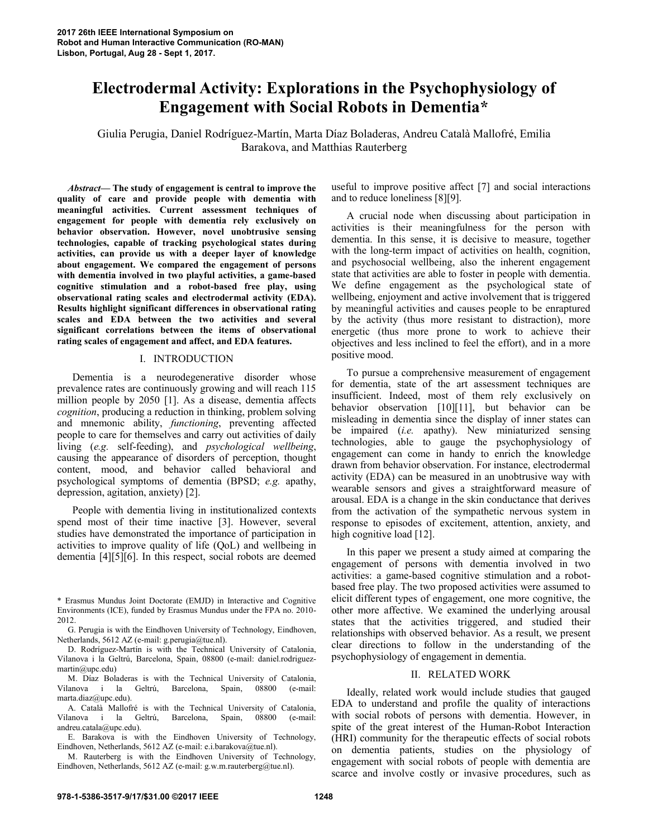# **Electrodermal Activity: Explorations in the Psychophysiology of Engagement with Social Robots in Dementia\***

Giulia Perugia, Daniel Rodríguez-Martín, Marta Díaz Boladeras, Andreu Català Mallofré, Emilia Barakova, and Matthias Rauterberg

*Abstract***— The study of engagement is central to improve the quality of care and provide people with dementia with meaningful activities. Current assessment techniques of engagement for people with dementia rely exclusively on behavior observation. However, novel unobtrusive sensing technologies, capable of tracking psychological states during activities, can provide us with a deeper layer of knowledge about engagement. We compared the engagement of persons with dementia involved in two playful activities, a game-based cognitive stimulation and a robot-based free play, using observational rating scales and electrodermal activity (EDA). Results highlight significant differences in observational rating scales and EDA between the two activities and several significant correlations between the items of observational rating scales of engagement and affect, and EDA features.** 

#### I. INTRODUCTION

Dementia is a neurodegenerative disorder whose prevalence rates are continuously growing and will reach 115 million people by 2050 [1]. As a disease, dementia affects *cognition*, producing a reduction in thinking, problem solving and mnemonic ability, *functioning*, preventing affected people to care for themselves and carry out activities of daily living (*e.g.* self-feeding), and *psychological wellbeing*, causing the appearance of disorders of perception, thought content, mood, and behavior called behavioral and psychological symptoms of dementia (BPSD; *e.g.* apathy, depression, agitation, anxiety) [2].

People with dementia living in institutionalized contexts spend most of their time inactive [3]. However, several studies have demonstrated the importance of participation in activities to improve quality of life (QoL) and wellbeing in dementia [4][5][6]. In this respect, social robots are deemed

- \* Erasmus Mundus Joint Doctorate (EMJD) in Interactive and Cognitive Environments (ICE), funded by Erasmus Mundus under the FPA no. 2010- 2012.
- G. Perugia is with the Eindhoven University of Technology, Eindhoven, Netherlands, 5612 AZ (e-mail: g.perugia@tue.nl).

D. Rodríguez-Martín is with the Technical University of Catalonia, Vilanova i la Geltrú, Barcelona, Spain, 08800 (e-mail: daniel.rodriguezmartin@upc.edu)

M. Díaz Boladeras is with the Technical University of Catalonia, Vilanova i la Geltrú, Barcelona, Spain, 08800 (e-mail: marta.diaz@upc.edu).

A. Català Mallofré is with the Technical University of Catalonia, Vilanova i la Geltrú, Barcelona, Spain, 08800 (e-mail: andreu.catala@upc.edu).

E. Barakova is with the Eindhoven University of Technology, Eindhoven, Netherlands, 5612 AZ (e-mail: e.i.barakova@tue.nl).

M. Rauterberg is with the Eindhoven University of Technology, Eindhoven, Netherlands, 5612 AZ (e-mail: g.w.m.rauterberg@tue.nl).

useful to improve positive affect [7] and social interactions and to reduce loneliness [8][9].

A crucial node when discussing about participation in activities is their meaningfulness for the person with dementia. In this sense, it is decisive to measure, together with the long-term impact of activities on health, cognition, and psychosocial wellbeing, also the inherent engagement state that activities are able to foster in people with dementia. We define engagement as the psychological state of wellbeing, enjoyment and active involvement that is triggered by meaningful activities and causes people to be enraptured by the activity (thus more resistant to distraction), more energetic (thus more prone to work to achieve their objectives and less inclined to feel the effort), and in a more positive mood.

To pursue a comprehensive measurement of engagement for dementia, state of the art assessment techniques are insufficient. Indeed, most of them rely exclusively on behavior observation [10][11], but behavior can be misleading in dementia since the display of inner states can be impaired (*i.e.* apathy). New miniaturized sensing technologies, able to gauge the psychophysiology of engagement can come in handy to enrich the knowledge drawn from behavior observation. For instance, electrodermal activity (EDA) can be measured in an unobtrusive way with wearable sensors and gives a straightforward measure of arousal. EDA is a change in the skin conductance that derives from the activation of the sympathetic nervous system in response to episodes of excitement, attention, anxiety, and high cognitive load [12].

In this paper we present a study aimed at comparing the engagement of persons with dementia involved in two activities: a game-based cognitive stimulation and a robotbased free play. The two proposed activities were assumed to elicit different types of engagement, one more cognitive, the other more affective. We examined the underlying arousal states that the activities triggered, and studied their relationships with observed behavior. As a result, we present clear directions to follow in the understanding of the psychophysiology of engagement in dementia.

#### II. RELATED WORK

Ideally, related work would include studies that gauged EDA to understand and profile the quality of interactions with social robots of persons with dementia. However, in spite of the great interest of the Human-Robot Interaction (HRI) community for the therapeutic effects of social robots on dementia patients, studies on the physiology of engagement with social robots of people with dementia are scarce and involve costly or invasive procedures, such as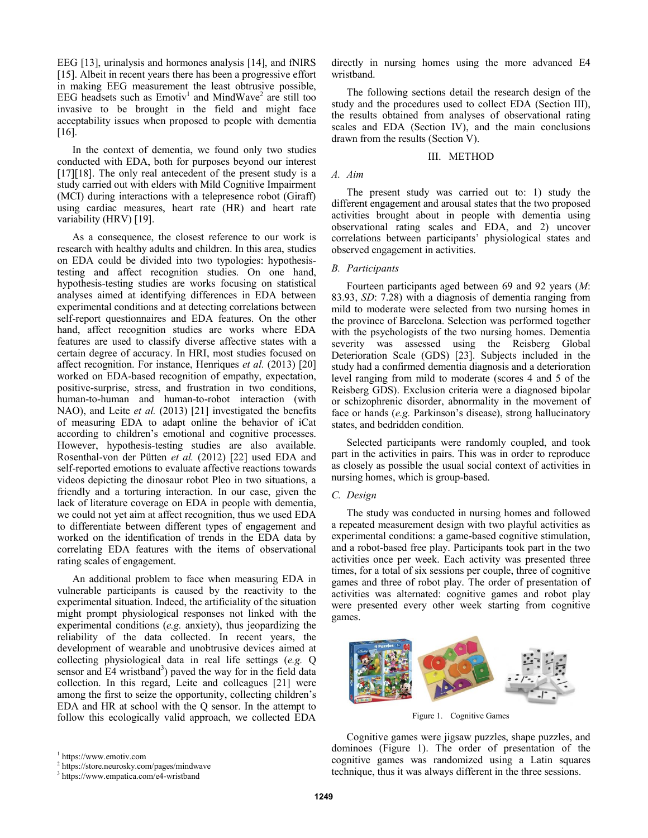EEG [13], urinalysis and hormones analysis [14], and fNIRS [15]. Albeit in recent years there has been a progressive effort in making EEG measurement the least obtrusive possible, EEG headsets such as  $Emotiv<sup>1</sup>$  and  $MindWave<sup>2</sup>$  are still too invasive to be brought in the field and might face acceptability issues when proposed to people with dementia [16].

In the context of dementia, we found only two studies conducted with EDA, both for purposes beyond our interest [17][18]. The only real antecedent of the present study is a study carried out with elders with Mild Cognitive Impairment (MCI) during interactions with a telepresence robot (Giraff) using cardiac measures, heart rate (HR) and heart rate variability (HRV) [19].

As a consequence, the closest reference to our work is research with healthy adults and children. In this area, studies on EDA could be divided into two typologies: hypothesistesting and affect recognition studies. On one hand, hypothesis-testing studies are works focusing on statistical analyses aimed at identifying differences in EDA between experimental conditions and at detecting correlations between self-report questionnaires and EDA features. On the other hand, affect recognition studies are works where EDA features are used to classify diverse affective states with a certain degree of accuracy. In HRI, most studies focused on affect recognition. For instance, Henriques *et al.* (2013) [20] worked on EDA-based recognition of empathy, expectation, positive-surprise, stress, and frustration in two conditions, human-to-human and human-to-robot interaction (with NAO), and Leite *et al.* (2013) [21] investigated the benefits of measuring EDA to adapt online the behavior of iCat according to children's emotional and cognitive processes. However, hypothesis-testing studies are also available. Rosenthal-von der Pütten *et al.* (2012) [22] used EDA and self-reported emotions to evaluate affective reactions towards videos depicting the dinosaur robot Pleo in two situations, a friendly and a torturing interaction. In our case, given the lack of literature coverage on EDA in people with dementia, we could not yet aim at affect recognition, thus we used EDA to differentiate between different types of engagement and worked on the identification of trends in the EDA data by correlating EDA features with the items of observational rating scales of engagement.

An additional problem to face when measuring EDA in vulnerable participants is caused by the reactivity to the experimental situation. Indeed, the artificiality of the situation might prompt physiological responses not linked with the experimental conditions (*e.g.* anxiety), thus jeopardizing the reliability of the data collected. In recent years, the development of wearable and unobtrusive devices aimed at collecting physiological data in real life settings (*e.g.* Q sensor and  $E4$  wristband<sup>3</sup>) paved the way for in the field data collection. In this regard, Leite and colleagues [21] were among the first to seize the opportunity, collecting children's EDA and HR at school with the Q sensor. In the attempt to follow this ecologically valid approach, we collected EDA

directly in nursing homes using the more advanced E4 wristband.

The following sections detail the research design of the study and the procedures used to collect EDA (Section III), the results obtained from analyses of observational rating scales and EDA (Section IV), and the main conclusions drawn from the results (Section V).

#### III. METHOD

# *A. Aim*

The present study was carried out to: 1) study the different engagement and arousal states that the two proposed activities brought about in people with dementia using observational rating scales and EDA, and 2) uncover correlations between participants' physiological states and observed engagement in activities.

#### *B. Participants*

Fourteen participants aged between 69 and 92 years (*M*: 83.93, *SD*: 7.28) with a diagnosis of dementia ranging from mild to moderate were selected from two nursing homes in the province of Barcelona. Selection was performed together with the psychologists of the two nursing homes. Dementia severity was assessed using the Reisberg Global Deterioration Scale (GDS) [23]. Subjects included in the study had a confirmed dementia diagnosis and a deterioration level ranging from mild to moderate (scores 4 and 5 of the Reisberg GDS). Exclusion criteria were a diagnosed bipolar or schizophrenic disorder, abnormality in the movement of face or hands (*e.g.* Parkinson's disease), strong hallucinatory states, and bedridden condition.

Selected participants were randomly coupled, and took part in the activities in pairs. This was in order to reproduce as closely as possible the usual social context of activities in nursing homes, which is group-based.

### *C. Design*

The study was conducted in nursing homes and followed a repeated measurement design with two playful activities as experimental conditions: a game-based cognitive stimulation, and a robot-based free play. Participants took part in the two activities once per week. Each activity was presented three times, for a total of six sessions per couple, three of cognitive games and three of robot play. The order of presentation of activities was alternated: cognitive games and robot play were presented every other week starting from cognitive games.



Figure 1. Cognitive Games

Cognitive games were jigsaw puzzles, shape puzzles, and dominoes (Figure 1). The order of presentation of the cognitive games was randomized using a Latin squares technique, thus it was always different in the three sessions.

<sup>1</sup> https://www.emotiv.com

<sup>2</sup> https://store.neurosky.com/pages/mindwave

<sup>3</sup> https://www.empatica.com/e4-wristband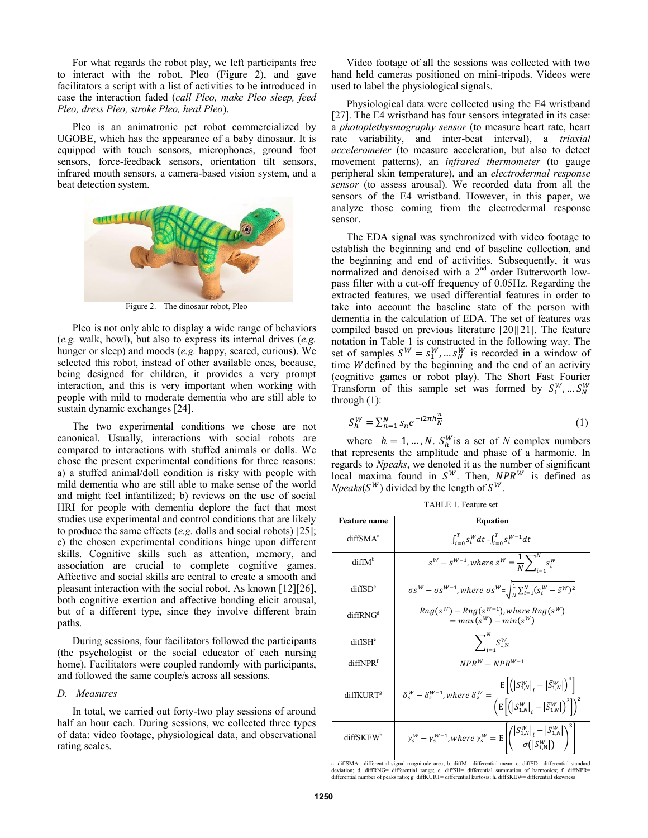For what regards the robot play, we left participants free to interact with the robot, Pleo (Figure 2), and gave facilitators a script with a list of activities to be introduced in case the interaction faded (*call Pleo, make Pleo sleep, feed Pleo, dress Pleo, stroke Pleo, heal Pleo*).

Pleo is an animatronic pet robot commercialized by UGOBE, which has the appearance of a baby dinosaur. It is equipped with touch sensors, microphones, ground foot sensors, force-feedback sensors, orientation tilt sensors, infrared mouth sensors, a camera-based vision system, and a beat detection system.



Figure 2. The dinosaur robot, Pleo

Pleo is not only able to display a wide range of behaviors (*e.g.* walk, howl), but also to express its internal drives (*e.g.* hunger or sleep) and moods (*e.g.* happy, scared, curious). We selected this robot, instead of other available ones, because, being designed for children, it provides a very prompt interaction, and this is very important when working with people with mild to moderate dementia who are still able to sustain dynamic exchanges [24].

The two experimental conditions we chose are not canonical. Usually, interactions with social robots are compared to interactions with stuffed animals or dolls. We chose the present experimental conditions for three reasons: a) a stuffed animal/doll condition is risky with people with mild dementia who are still able to make sense of the world and might feel infantilized; b) reviews on the use of social HRI for people with dementia deplore the fact that most studies use experimental and control conditions that are likely to produce the same effects (*e.g.* dolls and social robots) [25]; c) the chosen experimental conditions hinge upon different skills. Cognitive skills such as attention, memory, and association are crucial to complete cognitive games. Affective and social skills are central to create a smooth and pleasant interaction with the social robot. As known [12][26], both cognitive exertion and affective bonding elicit arousal, but of a different type, since they involve different brain paths.

During sessions, four facilitators followed the participants (the psychologist or the social educator of each nursing home). Facilitators were coupled randomly with participants, and followed the same couple/s across all sessions.

#### *D. Measures*

In total, we carried out forty-two play sessions of around half an hour each. During sessions, we collected three types of data: video footage, physiological data, and observational rating scales.

Video footage of all the sessions was collected with two hand held cameras positioned on mini-tripods. Videos were used to label the physiological signals.

Physiological data were collected using the E4 wristband [27]. The E4 wristband has four sensors integrated in its case: a *photoplethysmography sensor* (to measure heart rate, heart rate variability, and inter-beat interval), a *triaxial accelerometer* (to measure acceleration, but also to detect movement patterns), an *infrared thermometer* (to gauge peripheral skin temperature), and an *electrodermal response sensor* (to assess arousal). We recorded data from all the sensors of the E4 wristband. However, in this paper, we analyze those coming from the electrodermal response sensor.

The EDA signal was synchronized with video footage to establish the beginning and end of baseline collection, and the beginning and end of activities. Subsequently, it was normalized and denoised with a 2<sup>nd</sup> order Butterworth lowpass filter with a cut-off frequency of 0.05Hz. Regarding the extracted features, we used differential features in order to take into account the baseline state of the person with dementia in the calculation of EDA. The set of features was compiled based on previous literature [20][21]. The feature notation in Table 1 is constructed in the following way. The set of samples  $S^W = s_1^W, \dots s_N^W$  is recorded in a window of time Wdefined by the beginning and the end of an activity (cognitive games or robot play). The Short Fast Fourier Transform of this sample set was formed by  $S_1^W$ , ...  $S_N^W$ through (1):

$$
S_n^W = \sum_{n=1}^N s_n e^{-i2\pi h \frac{n}{N}}
$$
 (1)

where  $h = 1, ..., N$ .  $S_h^W$  is a set of *N* complex numbers that represents the amplitude and phase of a harmonic. In regards to *Npeaks*, we denoted it as the number of significant local maxima found in  $S^W$ . Then,  $NPR^W$  is defined as *Npeaks*( $S^W$ ) divided by the length of  $S^W$ .

TABLE 1. Feature set

| <b>Feature name</b>   | <b>Equation</b>                                                                                                                                                                                                                                       |  |  |  |  |
|-----------------------|-------------------------------------------------------------------------------------------------------------------------------------------------------------------------------------------------------------------------------------------------------|--|--|--|--|
| diffSMA <sup>a</sup>  | $\int_{i=0}^{T} s_i^W dt - \int_{i=0}^{T} s_i^{W-1} dt$                                                                                                                                                                                               |  |  |  |  |
| diffM <sup>b</sup>    | $s^W - \bar{s}^{W-1}$ , where $\bar{s}^W = \frac{1}{N} \sum_{i=1}^N s_i^W$                                                                                                                                                                            |  |  |  |  |
| diffSD <sup>c</sup>   | $\sigma s^W-\sigma s^{W-1}, where\; \sigma s^W{=}\begin{cases} \frac{1}{N}\sum_{i=1}^N(s_i^W-\bar{s}^W)^2 \end{cases}$                                                                                                                                |  |  |  |  |
| diffRNG <sup>d</sup>  | $Rng(s^W) - Rng(s^{W-1})$ , where $Rng(s^W)$<br>$= max(s^W) - min(s^W)$                                                                                                                                                                               |  |  |  |  |
| diffSH <sup>e</sup>   | $\sum_{i=1}^{N} S_{1,N}^{W}$                                                                                                                                                                                                                          |  |  |  |  |
| diffNPR <sup>f</sup>  | $NPR^{W} - NPR^{W-1}$                                                                                                                                                                                                                                 |  |  |  |  |
| diffKURT <sup>g</sup> | $\delta_s^W - \delta_s^{W-1}$ , where $\delta_z^W = \frac{E\left[\left(\left S_{1,N}^W\right _i - \left \bar{S}_{1,N}^W\right \right)^4\right]}{\left(E\left[\left(\left S_{1,N}^W\right _i - \left \bar{S}_{1,N}^W\right \right)^3\right]\right)^2}$ |  |  |  |  |
| diffSKEW <sup>h</sup> | $\gamma_s^W - \gamma_s^{W-1}$ , where $\gamma_s^W = E\left[ \left( \frac{ S_{1,N}^W _i -  S_{1,N}^W }{\sigma( S_{1,N}^W )} \right)^2 \right]$                                                                                                         |  |  |  |  |

a. diffSMA= differential signal magnitude area; b. diffM= differential mean; c. diffSD= differential standard<br>deviation; d. diffRNG= differential range; e. diffSH= differential summation of harmonics; f. diffNPR=<br>different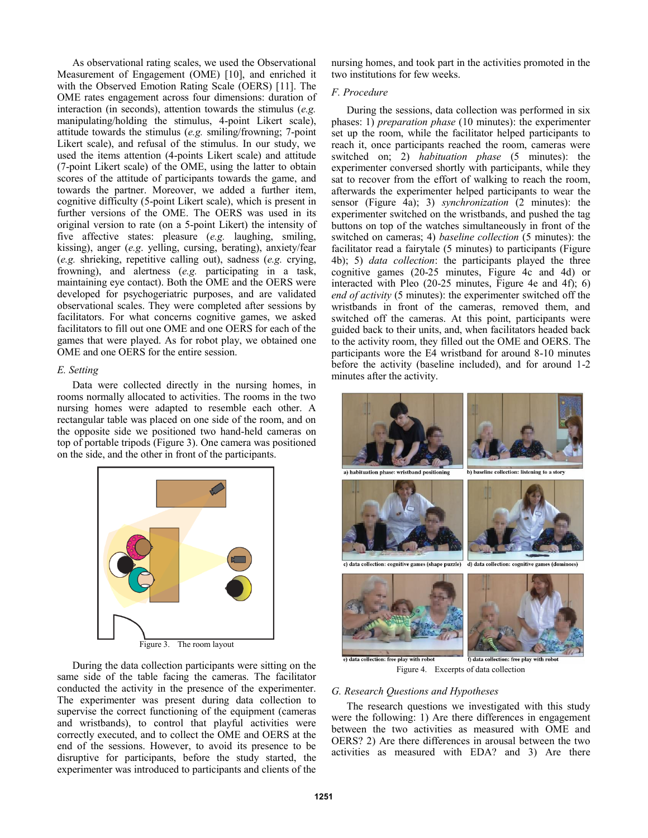As observational rating scales, we used the Observational Measurement of Engagement (OME) [10], and enriched it with the Observed Emotion Rating Scale (OERS) [11]. The OME rates engagement across four dimensions: duration of interaction (in seconds), attention towards the stimulus (*e.g.* manipulating/holding the stimulus, 4-point Likert scale), attitude towards the stimulus (*e.g.* smiling/frowning; 7-point Likert scale), and refusal of the stimulus. In our study, we used the items attention (4-points Likert scale) and attitude (7-point Likert scale) of the OME, using the latter to obtain scores of the attitude of participants towards the game, and towards the partner. Moreover, we added a further item, cognitive difficulty (5-point Likert scale), which is present in further versions of the OME. The OERS was used in its original version to rate (on a 5-point Likert) the intensity of five affective states: pleasure (*e.g.* laughing, smiling, kissing), anger (*e.g*. yelling, cursing, berating), anxiety/fear (*e.g.* shrieking, repetitive calling out), sadness (*e.g.* crying, frowning), and alertness (*e.g.* participating in a task, maintaining eye contact). Both the OME and the OERS were developed for psychogeriatric purposes, and are validated observational scales. They were completed after sessions by facilitators. For what concerns cognitive games, we asked facilitators to fill out one OME and one OERS for each of the games that were played. As for robot play, we obtained one OME and one OERS for the entire session.

#### *E. Setting*

Data were collected directly in the nursing homes, in rooms normally allocated to activities. The rooms in the two nursing homes were adapted to resemble each other. A rectangular table was placed on one side of the room, and on the opposite side we positioned two hand-held cameras on top of portable tripods (Figure 3). One camera was positioned on the side, and the other in front of the participants.



During the data collection participants were sitting on the same side of the table facing the cameras. The facilitator conducted the activity in the presence of the experimenter. The experimenter was present during data collection to supervise the correct functioning of the equipment (cameras and wristbands), to control that playful activities were correctly executed, and to collect the OME and OERS at the end of the sessions. However, to avoid its presence to be disruptive for participants, before the study started, the experimenter was introduced to participants and clients of the nursing homes, and took part in the activities promoted in the two institutions for few weeks.

### *F. Procedure*

During the sessions, data collection was performed in six phases: 1) *preparation phase* (10 minutes): the experimenter set up the room, while the facilitator helped participants to reach it, once participants reached the room, cameras were switched on; 2) *habituation phase* (5 minutes): the experimenter conversed shortly with participants, while they sat to recover from the effort of walking to reach the room, afterwards the experimenter helped participants to wear the sensor (Figure 4a); 3) *synchronization* (2 minutes): the experimenter switched on the wristbands, and pushed the tag buttons on top of the watches simultaneously in front of the switched on cameras; 4) *baseline collection* (5 minutes): the facilitator read a fairytale (5 minutes) to participants (Figure 4b); 5) *data collection*: the participants played the three cognitive games (20-25 minutes, Figure 4c and 4d) or interacted with Pleo (20-25 minutes, Figure 4e and 4f); 6) *end of activity* (5 minutes): the experimenter switched off the wristbands in front of the cameras, removed them, and switched off the cameras. At this point, participants were guided back to their units, and, when facilitators headed back to the activity room, they filled out the OME and OERS. The participants wore the E4 wristband for around 8-10 minutes before the activity (baseline included), and for around 1-2 minutes after the activity.



Figure 4. Excerpts of data collection

# *G. Research Questions and Hypotheses*

The research questions we investigated with this study were the following: 1) Are there differences in engagement between the two activities as measured with OME and OERS? 2) Are there differences in arousal between the two activities as measured with EDA? and 3) Are there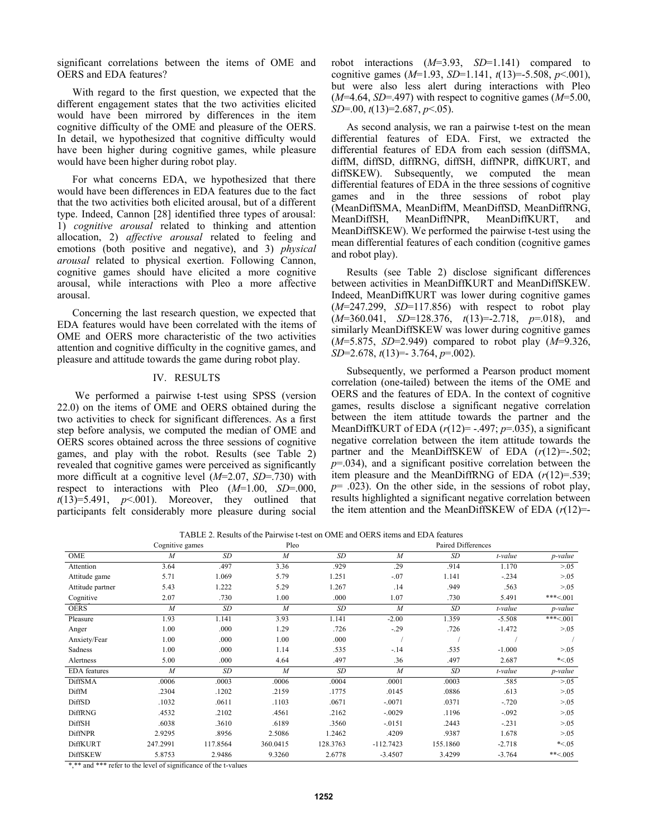significant correlations between the items of OME and OERS and EDA features?

With regard to the first question, we expected that the different engagement states that the two activities elicited would have been mirrored by differences in the item cognitive difficulty of the OME and pleasure of the OERS. In detail, we hypothesized that cognitive difficulty would have been higher during cognitive games, while pleasure would have been higher during robot play.

For what concerns EDA, we hypothesized that there would have been differences in EDA features due to the fact that the two activities both elicited arousal, but of a different type. Indeed, Cannon [28] identified three types of arousal: 1) *cognitive arousal* related to thinking and attention allocation, 2) *affective arousal* related to feeling and emotions (both positive and negative), and 3) *physical arousal* related to physical exertion. Following Cannon, cognitive games should have elicited a more cognitive arousal, while interactions with Pleo a more affective arousal.

Concerning the last research question, we expected that EDA features would have been correlated with the items of OME and OERS more characteristic of the two activities attention and cognitive difficulty in the cognitive games, and pleasure and attitude towards the game during robot play.

#### IV. RESULTS

We performed a pairwise t-test using SPSS (version 22.0) on the items of OME and OERS obtained during the two activities to check for significant differences. As a first step before analysis, we computed the median of OME and OERS scores obtained across the three sessions of cognitive games, and play with the robot. Results (see Table 2) revealed that cognitive games were perceived as significantly more difficult at a cognitive level (*M*=2.07, *SD*=.730) with respect to interactions with Pleo (*M*=1.00, *SD*=.000,  $t(13)=5.491$ ,  $p<.001$ ). Moreover, they outlined that participants felt considerably more pleasure during social

robot interactions (*M*=3.93, *SD*=1.141) compared to cognitive games (*M*=1.93, *SD*=1.141, *t*(13)=-5.508, *p*<.001), but were also less alert during interactions with Pleo (*M*=4.64, *SD*=.497) with respect to cognitive games (*M*=5.00, *SD*=.00, *t*(13)=2.687, *p*<.05).

As second analysis, we ran a pairwise t-test on the mean differential features of EDA. First, we extracted the differential features of EDA from each session (diffSMA, diffM, diffSD, diffRNG, diffSH, diffNPR, diffKURT, and diffSKEW). Subsequently, we computed the mean differential features of EDA in the three sessions of cognitive games and in the three sessions of robot play (MeanDiffSMA, MeanDiffM, MeanDiffSD, MeanDiffRNG, MeanDiffSH, MeanDiffNPR, MeanDiffKURT, and MeanDiffSKEW). We performed the pairwise t-test using the mean differential features of each condition (cognitive games and robot play).

Results (see Table 2) disclose significant differences between activities in MeanDiffKURT and MeanDiffSKEW. Indeed, MeanDiffKURT was lower during cognitive games (*M*=247.299, *SD*=117.856) with respect to robot play (*M*=360.041, *SD*=128.376, *t*(13)=-2.718, *p*=.018), and similarly MeanDiffSKEW was lower during cognitive games (*M*=5.875, *SD*=2.949) compared to robot play (*M*=9.326, *SD*=2.678, *t*(13)=- 3.764, *p*=.002).

Subsequently, we performed a Pearson product moment correlation (one-tailed) between the items of the OME and OERS and the features of EDA. In the context of cognitive games, results disclose a significant negative correlation between the item attitude towards the partner and the MeanDiffKURT of EDA (*r*(12)= -.497; *p*=.035), a significant negative correlation between the item attitude towards the partner and the MeanDiffSKEW of EDA  $(r(12)=502)$ ; *p*=.034), and a significant positive correlation between the item pleasure and the MeanDiffRNG of EDA (*r*(12)=.539;  $p=$  .023). On the other side, in the sessions of robot play, results highlighted a significant negative correlation between the item attention and the MeanDiffSKEW of EDA (*r*(12)=-

TABLE 2. Results of the Pairwise t-test on OME and OERS items and EDA features

|                     | Cognitive games |           | Pleo           |           | Paired Differences |           |          |          |
|---------------------|-----------------|-----------|----------------|-----------|--------------------|-----------|----------|----------|
| OME                 | $\overline{M}$  | <b>SD</b> | $\overline{M}$ | SD        | $\overline{M}$     | <b>SD</b> | t-value  | p-value  |
| Attention           | 3.64            | .497      | 3.36           | .929      | .29                | .914      | 1.170    | > 0.05   |
| Attitude game       | 5.71            | 1.069     | 5.79           | 1.251     | $-.07$             | 1.141     | $-.234$  | > 0.05   |
| Attitude partner    | 5.43            | 1.222     | 5.29           | 1.267     | .14                | .949      | .563     | > 0.05   |
| Cognitive           | 2.07            | .730      | 1.00           | .000      | 1.07               | .730      | 5.491    | ***<.001 |
| <b>OERS</b>         | $\overline{M}$  | <b>SD</b> | $\overline{M}$ | <b>SD</b> | $\overline{M}$     | SD        | t-value  | p-value  |
| Pleasure            | 1.93            | 1.141     | 3.93           | 1.141     | $-2.00$            | 1.359     | $-5.508$ | ***<.001 |
| Anger               | 1.00            | .000      | 1.29           | .726      | $-29$              | .726      | $-1.472$ | > 0.05   |
| Anxiety/Fear        | 1.00            | .000      | 1.00           | .000      |                    |           |          |          |
| Sadness             | 1.00            | .000      | 1.14           | .535      | $-14$              | .535      | $-1.000$ | > 0.05   |
| Alertness           | 5.00            | .000      | 4.64           | .497      | .36                | .497      | 2.687    | $*< 05$  |
| <b>EDA</b> features | $\overline{M}$  | <b>SD</b> | $\overline{M}$ | SD        | $\overline{M}$     | <b>SD</b> | t-value  | p-value  |
| <b>DiffSMA</b>      | .0006           | .0003     | .0006          | .0004     | .0001              | .0003     | .585     | > 0.05   |
| DiffM               | .2304           | .1202     | .2159          | .1775     | .0145              | .0886     | .613     | > 0.05   |
| DiffSD              | .1032           | .0611     | .1103          | .0671     | $-.0071$           | .0371     | $-.720$  | > 0.05   |
| <b>DiffRNG</b>      | .4532           | .2102     | .4561          | .2162     | $-.0029$           | .1196     | $-.092$  | > 0.05   |
| DiffSH              | .6038           | .3610     | .6189          | .3560     | $-0151$            | .2443     | $-.231$  | > 0.05   |
| <b>DiffNPR</b>      | 2.9295          | .8956     | 2.5086         | 1.2462    | .4209              | .9387     | 1.678    | > 0.05   |
| <b>DiffKURT</b>     | 247.2991        | 117.8564  | 360.0415       | 128.3763  | $-112.7423$        | 155.1860  | $-2.718$ | $*< 05$  |
| <b>DiffSKEW</b>     | 5.8753          | 2.9486    | 9.3260         | 2.6778    | $-3.4507$          | 3.4299    | $-3.764$ | **<.005  |

\*,\*\* and \*\*\* refer to the level of significance of the t-values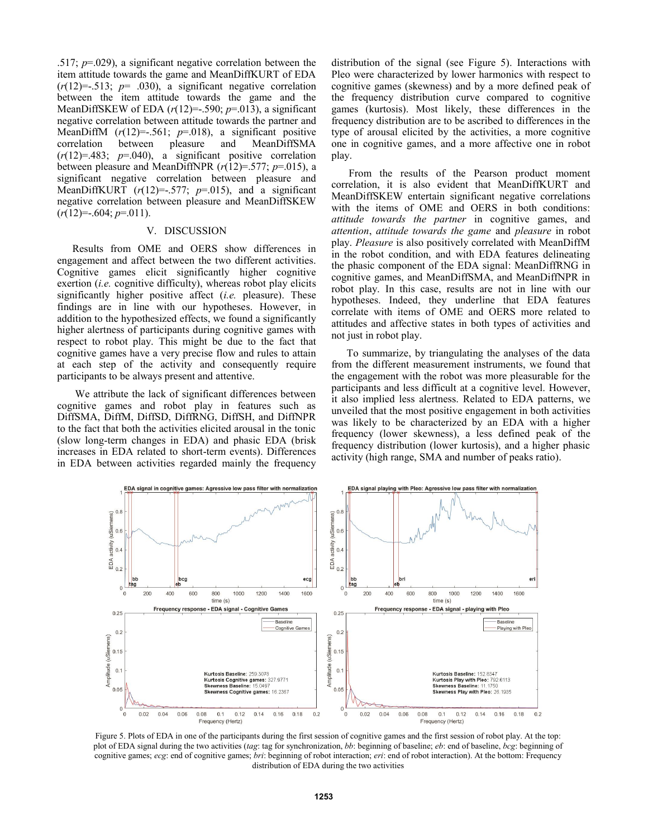.517; *p*=.029), a significant negative correlation between the item attitude towards the game and MeanDiffKURT of EDA  $(r(12)=513; p=030)$ , a significant negative correlation between the item attitude towards the game and the MeanDiffSKEW of EDA (*r*(12)=-.590; *p*=.013), a significant negative correlation between attitude towards the partner and MeanDiffM  $(r(12)=.561; p=018)$ , a significant positive correlation between pleasure and MeanDiffSMA  $(r(12)=.483; p=.040)$ , a significant positive correlation between pleasure and MeanDiffNPR (*r*(12)=.577; *p*=.015), a significant negative correlation between pleasure and MeanDiffKURT (*r*(12)=-.577; *p*=.015), and a significant negative correlation between pleasure and MeanDiffSKEW (*r*(12)=-.604; *p*=.011).

# V. DISCUSSION

Results from OME and OERS show differences in engagement and affect between the two different activities. Cognitive games elicit significantly higher cognitive exertion (*i.e.* cognitive difficulty), whereas robot play elicits significantly higher positive affect (*i.e.* pleasure). These findings are in line with our hypotheses. However, in addition to the hypothesized effects, we found a significantly higher alertness of participants during cognitive games with respect to robot play. This might be due to the fact that cognitive games have a very precise flow and rules to attain at each step of the activity and consequently require participants to be always present and attentive.

We attribute the lack of significant differences between cognitive games and robot play in features such as DiffSMA, DiffM, DiffSD, DiffRNG, DiffSH, and DiffNPR to the fact that both the activities elicited arousal in the tonic (slow long-term changes in EDA) and phasic EDA (brisk increases in EDA related to short-term events). Differences in EDA between activities regarded mainly the frequency

distribution of the signal (see Figure 5). Interactions with Pleo were characterized by lower harmonics with respect to cognitive games (skewness) and by a more defined peak of the frequency distribution curve compared to cognitive games (kurtosis). Most likely, these differences in the frequency distribution are to be ascribed to differences in the type of arousal elicited by the activities, a more cognitive one in cognitive games, and a more affective one in robot play.

From the results of the Pearson product moment correlation, it is also evident that MeanDiffKURT and MeanDiffSKEW entertain significant negative correlations with the items of OME and OERS in both conditions: *attitude towards the partner* in cognitive games, and *attention*, *attitude towards the game* and *pleasure* in robot play. *Pleasure* is also positively correlated with MeanDiffM in the robot condition, and with EDA features delineating the phasic component of the EDA signal: MeanDiffRNG in cognitive games, and MeanDiffSMA, and MeanDiffNPR in robot play. In this case, results are not in line with our hypotheses. Indeed, they underline that EDA features correlate with items of OME and OERS more related to attitudes and affective states in both types of activities and not just in robot play.

To summarize, by triangulating the analyses of the data from the different measurement instruments, we found that the engagement with the robot was more pleasurable for the participants and less difficult at a cognitive level. However, it also implied less alertness. Related to EDA patterns, we unveiled that the most positive engagement in both activities was likely to be characterized by an EDA with a higher frequency (lower skewness), a less defined peak of the frequency distribution (lower kurtosis), and a higher phasic activity (high range, SMA and number of peaks ratio).



Figure 5. Plots of EDA in one of the participants during the first session of cognitive games and the first session of robot play. At the top: plot of EDA signal during the two activities (*tag*: tag for synchronization, *bb*: beginning of baseline; *eb*: end of baseline, *bcg*: beginning of cognitive games; *ecg*: end of cognitive games; *bri*: beginning of robot interaction; *eri*: end of robot interaction). At the bottom: Frequency distribution of EDA during the two activities